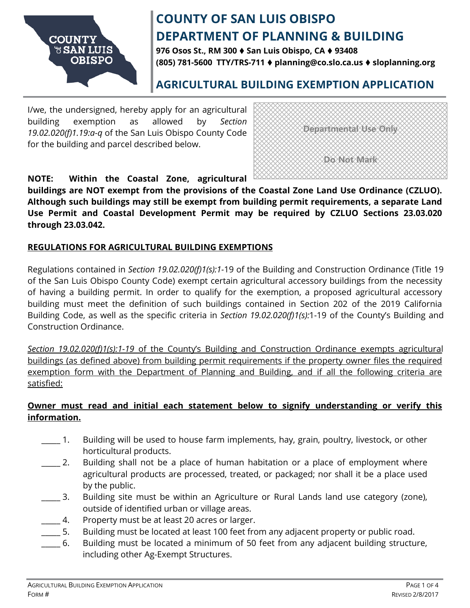

**976 Osos St., RM 300** ♦ **San Luis Obispo, CA** ♦ **93408 (805) 781-5600 TTY/TRS-711** ♦ **planning@co.slo.ca.us** ♦ **sloplanning.org**

## **AGRICULTURAL BUILDING EXEMPTION APPLICATION**

I/we, the undersigned, hereby apply for an agricultural building exemption as allowed by *Section 19.02.020(f)1.19:a-q* of the San Luis Obispo County Code for the building and parcel described below.



**NOTE: Within the Coastal Zone, agricultural** 

**buildings are NOT exempt from the provisions of the Coastal Zone Land Use Ordinance (CZLUO). Although such buildings may still be exempt from building permit requirements, a separate Land Use Permit and Coastal Development Permit may be required by CZLUO Sections 23.03.020 through 23.03.042.**

### **REGULATIONS FOR AGRICULTURAL BUILDING EXEMPTIONS**

Regulations contained in *Section 19.02.020(f)1(s):1-*19 of the Building and Construction Ordinance (Title 19 of the San Luis Obispo County Code) exempt certain agricultural accessory buildings from the necessity of having a building permit. In order to qualify for the exemption, a proposed agricultural accessory building must meet the definition of such buildings contained in Section 202 of the 2019 California Building Code, as well as the specific criteria in *Section 19.02.020(f)1(s):*1-19 of the County's Building and Construction Ordinance.

*Section 19.02.020(f)1(s):1-19* of the County's Building and Construction Ordinance exempts agricultural buildings (as defined above) from building permit requirements if the property owner files the required exemption form with the Department of Planning and Building, and if all the following criteria are satisfied:

### **Owner must read and initial each statement below to signify understanding or verify this information.**

- 1. Building will be used to house farm implements, hay, grain, poultry, livestock, or other horticultural products.
- $\_\,$  2. Building shall not be a place of human habitation or a place of employment where agricultural products are processed, treated, or packaged; nor shall it be a place used by the public.
- \_\_\_\_\_ 3. Building site must be within an Agriculture or Rural Lands land use category (zone), outside of identified urban or village areas.
- \_\_\_\_\_ 4. Property must be at least 20 acres or larger.
- \_\_\_\_\_ 5. Building must be located at least 100 feet from any adjacent property or public road.
- \_\_\_\_\_ 6. Building must be located a minimum of 50 feet from any adjacent building structure, including other Ag-Exempt Structures.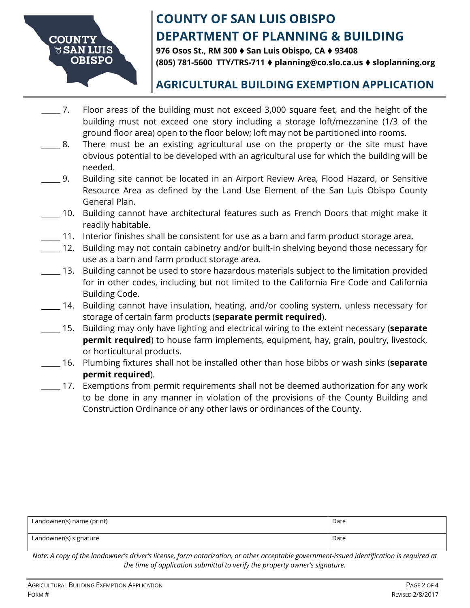

**976 Osos St., RM 300** ♦ **San Luis Obispo, CA** ♦ **93408 (805) 781-5600 TTY/TRS-711** ♦ **planning@co.slo.ca.us** ♦ **sloplanning.org**

## **AGRICULTURAL BUILDING EXEMPTION APPLICATION**

- \_\_\_\_\_ 7. Floor areas of the building must not exceed 3,000 square feet, and the height of the building must not exceed one story including a storage loft/mezzanine (1/3 of the ground floor area) open to the floor below; loft may not be partitioned into rooms.
- 8. There must be an existing agricultural use on the property or the site must have obvious potential to be developed with an agricultural use for which the building will be needed.
- \_\_\_\_\_ 9. Building site cannot be located in an Airport Review Area, Flood Hazard, or Sensitive Resource Area as defined by the Land Use Element of the San Luis Obispo County General Plan.
- \_\_\_\_\_ 10. Building cannot have architectural features such as French Doors that might make it readily habitable.
- \_\_\_\_\_ 11. Interior finishes shall be consistent for use as a barn and farm product storage area.
- \_\_\_\_\_ 12. Building may not contain cabinetry and/or built-in shelving beyond those necessary for use as a barn and farm product storage area.
- 13. Building cannot be used to store hazardous materials subject to the limitation provided for in other codes, including but not limited to the California Fire Code and California Building Code.
- \_\_\_\_\_ 14. Building cannot have insulation, heating, and/or cooling system, unless necessary for storage of certain farm products (**separate permit required**).
- \_\_\_\_\_ 15. Building may only have lighting and electrical wiring to the extent necessary (**separate permit required**) to house farm implements, equipment, hay, grain, poultry, livestock, or horticultural products.
- \_\_\_\_\_ 16. Plumbing fixtures shall not be installed other than hose bibbs or wash sinks (**separate permit required**).
- \_\_\_\_\_ 17. Exemptions from permit requirements shall not be deemed authorization for any work to be done in any manner in violation of the provisions of the County Building and Construction Ordinance or any other laws or ordinances of the County.

| Landowner(s) name (print) | Date |
|---------------------------|------|
| Landowner(s) signature    | Date |

*Note: A copy of the landowner's driver's license, form notarization, or other acceptable government-issued identification is required at the time of application submittal to verify the property owner's signature.*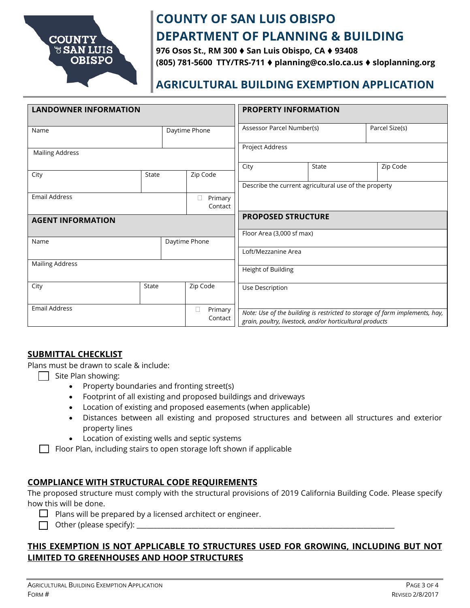

**976 Osos St., RM 300** ♦ **San Luis Obispo, CA** ♦ **93408 (805) 781-5600 TTY/TRS-711** ♦ **planning@co.slo.ca.us** ♦ **sloplanning.org**

## **AGRICULTURAL BUILDING EXEMPTION APPLICATION**

| <b>LANDOWNER INFORMATION</b> |       |               | <b>PROPERTY INFORMATION</b> |                                                       |  |                                                          |                |                                                                             |
|------------------------------|-------|---------------|-----------------------------|-------------------------------------------------------|--|----------------------------------------------------------|----------------|-----------------------------------------------------------------------------|
| Name                         |       | Daytime Phone |                             | Assessor Parcel Number(s)                             |  |                                                          | Parcel Size(s) |                                                                             |
| <b>Mailing Address</b>       |       |               |                             | Project Address                                       |  |                                                          |                |                                                                             |
|                              |       |               |                             | City                                                  |  | State                                                    |                | Zip Code                                                                    |
| City                         | State |               | Zip Code                    |                                                       |  |                                                          |                |                                                                             |
|                              |       |               |                             | Describe the current agricultural use of the property |  |                                                          |                |                                                                             |
| <b>Email Address</b>         |       |               | Primary<br>u<br>Contact     |                                                       |  |                                                          |                |                                                                             |
| <b>AGENT INFORMATION</b>     |       |               |                             | <b>PROPOSED STRUCTURE</b>                             |  |                                                          |                |                                                                             |
| Daytime Phone<br>Name        |       |               | Floor Area (3,000 sf max)   |                                                       |  |                                                          |                |                                                                             |
|                              |       |               |                             | Loft/Mezzanine Area                                   |  |                                                          |                |                                                                             |
| <b>Mailing Address</b>       |       |               |                             | Height of Building                                    |  |                                                          |                |                                                                             |
| City                         | State |               | Zip Code                    | Use Description                                       |  |                                                          |                |                                                                             |
| <b>Email Address</b>         |       |               | Primary<br>Ш<br>Contact     |                                                       |  | grain, poultry, livestock, and/or horticultural products |                | Note: Use of the building is restricted to storage of farm implements, hay, |

#### **SUBMITTAL CHECKLIST**

Plans must be drawn to scale & include:

- Site Plan showing:
	- Property boundaries and fronting street(s)
	- Footprint of all existing and proposed buildings and driveways
	- Location of existing and proposed easements (when applicable)
	- Distances between all existing and proposed structures and between all structures and exterior property lines
	- Location of existing wells and septic systems

 $\Box$  Floor Plan, including stairs to open storage loft shown if applicable

#### **COMPLIANCE WITH STRUCTURAL CODE REQUIREMENTS**

The proposed structure must comply with the structural provisions of 2019 California Building Code. Please specify how this will be done.

 $\Box$  Plans will be prepared by a licensed architect or engineer.

 $\Box$  Other (please specify):

### **THIS EXEMPTION IS NOT APPLICABLE TO STRUCTURES USED FOR GROWING, INCLUDING BUT NOT LIMITED TO GREENHOUSES AND HOOP STRUCTURES**